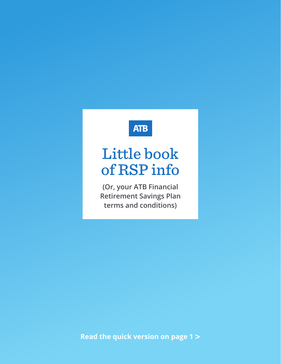# **ATB**

# Little book of RSP info

**(Or, your ATB Financial Retirement Savings Plan terms and conditions)**

**Read the quick version on page 1 >**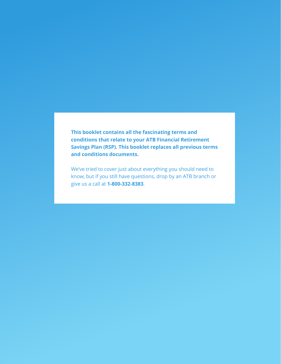**This booklet contains all the fascinating terms and conditions that relate to your ATB Financial Retirement Savings Plan (RSP). This booklet replaces all previous terms and conditions documents.**

We've tried to cover just about everything you should need to know, but if you still have questions, drop by an ATB branch or give us a call at **1-800-332-8383**.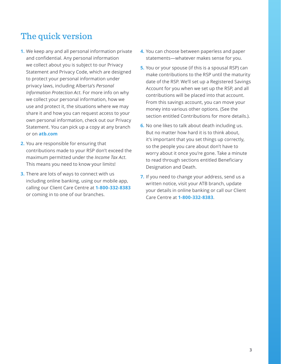# The quick version

- **1.** We keep any and all personal information private and confidential. Any personal information we collect about you is subject to our Privacy Statement and Privacy Code, which are designed to protect your personal information under privacy laws, including Alberta's *Personal Information Protection Act*. For more info on why we collect your personal information, how we use and protect it, the situations where we may share it and how you can request access to your own personal information, check out our Privacy Statement. You can pick up a copy at any branch or on **atb.com**
- **2.** You are responsible for ensuring that contributions made to your RSP don't exceed the maximum permitted under the *Income Tax Act*. This means you need to know your limits!
- **3.** There are lots of ways to connect with us including online banking, using our mobile app, calling our Client Care Centre at **1-800-332-8383** or coming in to one of our branches.
- **4.** You can choose between paperless and paper statements—whatever makes sense for you.
- **5.** You or your spouse (if this is a spousal RSP) can make contributions to the RSP until the maturity date of the RSP. We'll set up a Registered Savings Account for you when we set up the RSP, and all contributions will be placed into that account. From this savings account, you can move your money into various other options. (See the section entitled Contributions for more details.).
- **6.** No one likes to talk about death including us. But no matter how hard it is to think about, it's important that you set things up correctly, so the people you care about don't have to worry about it once you're gone. Take a minute to read through sections entitled Beneficiary Designation and Death.
- **7.** If you need to change your address, send us a written notice, visit your ATB branch, update your details in online banking or call our Client Care Centre at **1-800-332-8383**.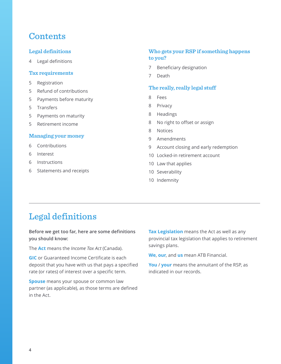# **Contents**

# **Legal definitions**

4 Legal definitions

#### **[Tax requirements](#page-4-0)**

- 5 [Registration](#page-4-0)
- 5 [Refund of contributions](#page-4-0)
- 5 [Payments before maturity](#page-4-0)
- 5 [Transfers](#page-4-0)
- 5 [Payments on maturity](#page-4-0)
- 5 [Retirement income](#page-4-0)

#### **[Managing your money](#page-5-0)**

- 6 [Contributions](#page-5-0)
- 6 [Interest](#page-5-0)
- 6 [Instructions](#page-5-0)
- 6 [Statements and receipts](#page-5-0)

# **[Who gets your RSP if something happens](#page-6-0)  [to you?](#page-6-0)**

- 7 [Beneficiary designation](#page-6-0)
- 7 [Death](#page-6-0)

#### **[The really, really legal stuff](#page-7-0)**

- 8 [Fees](#page-7-0)
- 8 [Privacy](#page-7-0)
- 8 [Headings](#page-7-0)
- 8 [No right to offset or assign](#page-7-0)
- 8 [Notices](#page-7-0)
- 9 [Amendments](#page-8-0)
- 9 [Account closing and early redemption](#page-8-0)
- 10 [Locked-in retirement account](#page-9-0)
- 10 [Law that applies](#page-9-0)
- 10 [Severability](#page-9-0)
- 10 [Indemnity](#page-9-0)

# Legal definitions

### **Before we get too far, here are some definitions you should know:**

The **Act** means the *Income Tax Act* (Canada).

**GIC** or Guaranteed Income Certificate is each deposit that you have with us that pays a specified rate (or rates) of interest over a specific term.

**Spouse** means your spouse or common law partner (as applicable), as those terms are defined in the Act.

**Tax Legislation** means the Act as well as any provincial tax legislation that applies to retirement savings plans.

**We**, **our**, and **us** mean ATB Financial.

**You** / **your** means the annuitant of the RSP, as indicated in our records.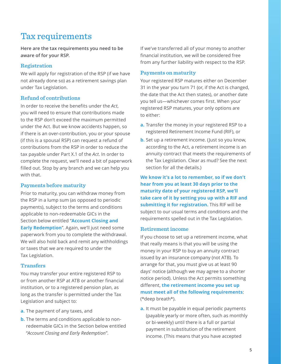# <span id="page-4-0"></span>Tax requirements

**Here are the tax requirements you need to be aware of for your RSP.**

### **Registration**

We will apply for registration of the RSP (if we have not already done so) as a retirement savings plan under Tax Legislation.

### **Refund of contributions**

In order to receive the benefits under the *Act*, you will need to ensure that contributions made to the RSP don't exceed the maximum permitted under the Act. But we know accidents happen, so if there is an over-contribution, you or your spouse (if this is a spousal RSP) can request a refund of contributions from the RSP in order to reduce the tax payable under Part X.1 of the *Act*. In order to complete the request, we'll need a bit of paperwork filled out. Stop by any branch and we can help you with that.

# **Payments before maturity**

Prior to maturity, you can withdraw money from the RSP in a lump sum (as opposed to periodic payments), subject to the terms and conditions applicable to non-redeemable GICs in the Section below entitled "**Account Closing and Early Redemption".** Again, we'll just need some paperwork from you to complete the withdrawal. We will also hold back and remit any withholdings or taxes that we are required to under the Tax Legislation.

# **Transfers**

You may transfer your entire registered RSP to or from another RSP at ATB or another financial institution, or to a registered pension plan, as long as the transfer is permitted under the Tax Legislation and subject to:

- **a.** The payment of any taxes, and
- **b.** The terms and conditions applicable to nonredeemable GICs in the Section below entitled "*Account Closing and Early Redemption*".

If we've transferred all of your money to another financial institution, we will be considered free from any further liability with respect to the RSP.

### **Payments on maturity**

Your registered RSP matures either on December 31 in the year you turn 71 (or, if the Act is changed, the date that the Act then states), or another date you tell us—whichever comes first. When your registered RSP matures, your only options are to either:

- **a.** Transfer the money in your registered RSP to a registered Retirement Income Fund (RIF), or
- **b.** Set up a retirement income. (Just so you know, according to the Act, a retirement income is an annuity contract that meets the requirements of the Tax Legislation. Clear as mud? See the next section for all the details.)

**We know it's a lot to remember, so if we don't hear from you at least 30 days prior to the maturity date of your registered RSP, we'll take care of it by setting you up with a RIF and submitting it for registration.** This RIF will be subject to our usual terms and conditions and the requirements spelled out in the Tax Legislation.

### **Retirement income**

If you choose to set up a retirement income, what that really means is that you will be using the money in your RSP to buy an annuity contract issued by an insurance company (not ATB). To arrange for that, you must give us at least 90 days' notice (although we may agree to a shorter notice period). Unless the Act permits something different, **the retirement income you set up must meet all of the following requirements**: (\*deep breath\*).

**a.** It must be payable in equal periodic payments (payable yearly or more often, such as monthly or bi-weekly) until there is a full or partial payment in substitution of the retirement income. (This means that you have accepted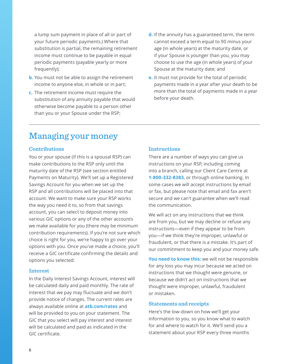<span id="page-5-0"></span>a lump sum payment in place of all or part of your future periodic payments.) Where that substitution is partial, the remaining retirement income must continue to be payable in equal periodic payments (payable yearly or more frequently);

- **b.** You must not be able to assign the retirement income to anyone else, in whole or in part;
- **c.** The retirement income must require the substitution of any annuity payable that would otherwise become payable to a person other than you or your Spouse under the RSP;
- **d.** If the annuity has a guaranteed term, the term cannot exceed a term equal to 90 minus your age (in whole years) at the maturity date, or if your Spouse is younger than you, you may choose to use the age (in whole years) of your Spouse at the maturity date; and
- **e.** It must not provide for the total of periodic payments made in a year after your death to be more than the total of payments made in a year before your death.

# Managing your money

## **Contributions**

You or your spouse (if this is a spousal RSP) can make contributions to the RSP only until the maturity date of the RSP (see section entitled Payments on Maturity). We'll set up a Registered Savings Account for you when we set up the RSP and all contributions will be placed into that account. We want to make sure your RSP works the way you need it to, so from that savings account, you can select to deposit money into various GIC options or any of the other accounts we make available for you (there may be minimum contribution requirements). If you're not sure which choice is right for you, we're happy to go over your options with you. Once you've made a choice, you'll receive a GIC certificate confirming the details and options you selected.

#### **Interest**

In the Daily Interest Savings Account, interest will be calculated daily and paid monthly. The rate of interest that we pay may fluctuate and we don't provide notice of changes. The current rates are always available online at **atb.com/rates** and will be provided to you on your statement. The GIC that you select will pay interest and interest will be calculated and paid as indicated in the GIC certificate.

# **Instructions**

There are a number of ways you can give us instructions on your RSP, including coming into a branch, calling our Client Care Centre at **1-800-332-8383**, or through online banking. In some cases we will accept instructions by email or fax, but please note that email and fax aren't secure and we can't guarantee when we'll read the communication.

We will act on any instructions that we think are from you, but we may decline or refuse any instructions—even if they appear to be from you—if we think they're improper, unlawful or fraudulent, or that there is a mistake. It's part of our commitment to keep you and your money safe.

**You need to know this:** we will not be responsible for any loss you may incur because we acted on instructions that we thought were genuine, or because we didn't act on instructions that we thought were improper, unlawful, fraudulent or mistaken.

#### **Statements and receipts**

Here's the low-down on how we'll get your information to you, so you know what to watch for and where to watch for it. We'll send you a statement about your RSP every three months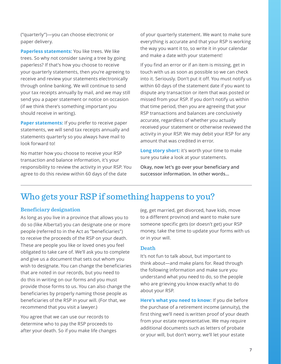<span id="page-6-0"></span>("quarterly")—you can choose electronic or paper delivery.

**Paperless statements:** You like trees. We like trees. So why not consider saving a tree by going paperless? If that's how you choose to receive your quarterly statements, then you're agreeing to receive and review your statements electronically through online banking. We will continue to send your tax receipts annually by mail, and we may still send you a paper statement or notice on occasion (if we think there's something important you should receive in writing).

**Paper statements:** If you prefer to receive paper statements, we will send tax receipts annually and statements quarterly so you always have mail to look forward to!

No matter how you choose to receive your RSP transaction and balance information, it's your responsibility to review the activity in your RSP. You agree to do this review within 60 days of the date

of your quarterly statement. We want to make sure everything is accurate and that your RSP is working the way you want it to, so write it in your calendar and make a date with your statement!

If you find an error or if an item is missing, get in touch with us as soon as possible so we can check into it. Seriously. Don't put it off. You must notify us within 60 days of the statement date if you want to dispute any transaction or item that was posted or missed from your RSP. If you don't notify us within that time period, then you are agreeing that your RSP transactions and balances are conclusively accurate, regardless of whether you actually received your statement or otherwise reviewed the activity in your RSP. We may debit your RSP for any amount that was credited in error.

**Long story short:** it's worth your time to make sure you take a look at your statements.

**Okay, now let's go over your beneficiary and successor information. In other words…**

# Who gets your RSP if something happens to you?

# **Beneficiary designation**

As long as you live in a province that allows you to do so (like Alberta!) you can designate one or more people (referred to in the Act as "beneficiaries") to receive the proceeds of the RSP on your death. These are people you like or loved ones you feel obligated to take care of. We'll ask you to complete and give us a document that sets out whom you wish to designate. You can change the beneficiaries that are noted in our records, but you need to do this in writing on our forms and you must provide those forms to us. You can also change the beneficiaries by properly naming those people as beneficiaries of the RSP in your will. (For that, we recommend that you visit a lawyer.)

You agree that we can use our records to determine who to pay the RSP proceeds to after your death. So if you make life changes (eg, get married, get divorced, have kids, move to a different province) and want to make sure someone specific gets (or doesn't get) your RSP money, take the time to update your forms with us or in your will.

# **Death**

It's not fun to talk about, but important to think about—and make plans for. Read through the following information and make sure you understand what you need to do, so the people who are grieving you know exactly what to do about your RSP.

**Here's what you need to know:** If you die before the purchase of a retirement income (annuity), the first thing we'll need is written proof of your death from your estate representative. We may require additional documents such as letters of probate or your will, but don't worry, we'll let your estate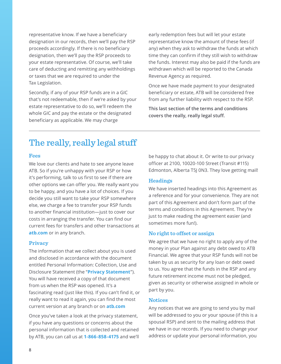<span id="page-7-0"></span>representative know. If we have a beneficiary designation in our records, then we'll pay the RSP proceeds accordingly. If there is no beneficiary designation, then we'll pay the RSP proceeds to your estate representative. Of course, we'll take care of deducting and remitting any withholdings or taxes that we are required to under the Tax Legislation.

Secondly, if any of your RSP funds are in a GIC that's not redeemable, then if we're asked by your estate representative to do so, we'll redeem the whole GIC and pay the estate or the designated beneficiary as applicable. We may charge

early redemption fees but will let your estate representative know the amount of these fees (if any) when they ask to withdraw the funds at which time they can confirm if they still wish to withdraw the funds. Interest may also be paid if the funds are withdrawn which will be reported to the Canada Revenue Agency as required.

Once we have made payment to your designated beneficiary or estate, ATB will be considered free from any further liability with respect to the RSP.

**This last section of the terms and conditions covers the really, really legal stuff.**

# The really, really legal stuff

#### **Fees**

We love our clients and hate to see anyone leave ATB. So if you're unhappy with your RSP or how it's performing, talk to us first to see if there are other options we can offer you. We really want you to be happy, and you have a lot of choices. If you decide you still want to take your RSP somewhere else, we charge a fee to transfer your RSP funds to another financial institution—just to cover our costs in arranging the transfer. You can find our current fees for transfers and other transactions at **atb.com** or in any branch.

#### **Privacy**

The information that we collect about you is used and disclosed in accordance with the document entitled Personal Information: Collection, Use and Disclosure Statement (the "**Privacy Statement**"). You will have received a copy of that document from us when the RSP was opened. It's a fascinating read (just like this). If you can't find it, or really want to read it again, you can find the most current version at any branch or on **atb.com**

Once you've taken a look at the privacy statement, if you have any questions or concerns about the personal information that is collected and retained by ATB, you can call us at **1-866-858-4175** and we'll be happy to chat about it. Or write to our privacy officer at 2100, 10020-100 Street (Transit #115) Edmonton, Alberta T5J 0N3. They love getting mail!

#### **Headings**

We have inserted headings into this Agreement as a reference and for your convenience. They are not part of this Agreement and don't form part of the terms and conditions in this Agreement. They're just to make reading the agreement easier (and sometimes more fun!).

#### **No right to offset or assign**

We agree that we have no right to apply any of the money in your Plan against any debt owed to ATB Financial. We agree that your RSP funds will not be taken by us as security for any loan or debt owed to us. You agree that the funds in the RSP and any future retirement income must not be pledged, given as security or otherwise assigned in whole or part by you.

#### **Notices**

Any notices that we are going to send you by mail will be addressed to you or your spouse (if this is a spousal RSP) and sent to the mailing address that we have in our records. If you need to change your address or update your personal information, you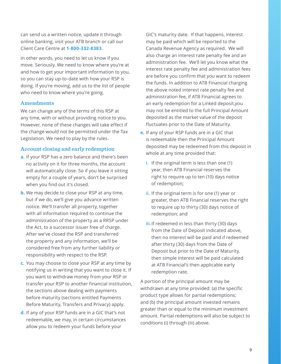<span id="page-8-0"></span>can send us a written notice, update it through online banking, visit your ATB branch or call our Client Care Centre at **1-800-332-8383**.

In other words, you need to let us know if you move. Seriously. We need to know where you're at and how to get your important information to you, so you can stay up-to-date with how your RSP is doing. If you're moving, add us to the list of people who need to know where you're going.

#### **Amendments**

We can change any of the terms of this RSP at any time, with or without providing notice to you. However, none of these changes will take effect if the change would not be permitted under the Tax Legislation. We need to play by the rules.

#### **Account closing and early redemption**

- **a.** If your RSP has a zero balance and there's been no activity on it for three months, the account will automatically close. So if you leave it sitting empty for a couple of years, don't be surprised when you find out it's closed.
- **b.** We may decide to close your RSP at any time, but if we do, we'll give you advance written notice. We'll transfer all property, together with all information required to continue the administration of the property as a RRSP under the Act, to a successor issuer free of charge. After we've closed the RSP and transferred the property and any information, we'll be considered free from any further liability or responsibility with respect to the RSP.
- **c.** You may choose to close your RSP at any time by notifying us in writing that you want to close it. If you want to withdraw money from your RSP or transfer your RSP to another financial institution, the sections above dealing with payments before maturity (sections entitled Payments Before Maturity, Transfers and Privacy) apply.
- **d.** If any of your RSP funds are in a GIC that's not redeemable, we may, in certain circumstances allow you to redeem your funds before your

GIC's maturity date. If that happens, interest may be paid which will be reported to the Canada Revenue Agency as required. We will also charge an interest rate penalty fee and an administration fee. We'll let you know what the interest rate penalty fee and administration fees are before you confirm that you want to redeem the funds. In addition to ATB Financial charging the above noted interest rate penalty fee and administration fee, if ATB Financial agrees to an early redemption for a Linked deposit,you may not be entitled to the full Principal Amount deposited as the market value of the deposit fluctuates prior to the Date of Maturity.

- **e.** If any of your RSP funds are in a GIC that is redeemable then the Principal Amount deposited may be redeemed from this deposit in whole at any time provided that:
	- **i.** If the original term is less than one (1) year, then ATB Financial reserves the right to require up to ten (10) days notice of redemption;
	- **ii.** If the original term is for one (1) year or greater, then ATB Financial reserves the right to require up to thirty (30) days notice of redemption; and
	- **iii.**If redeemed in less than thirty (30) days from the Date of Deposit indicated above, then no interest will be paid and if redeemed after thirty (30) days from the Date of Deposit but prior to the Date of Maturity, then simple interest will be paid calculated at ATB Financial's then applicable early redemption rate.

A portion of the principal amount may be withdrawn at any time provided: (a) the specific product type allows for partial redemptions; and (b) the principal amount invested remains greater than or equal to the minimum investment amount. Partial redemptions will also be subject to conditions (i) through (iii) above.